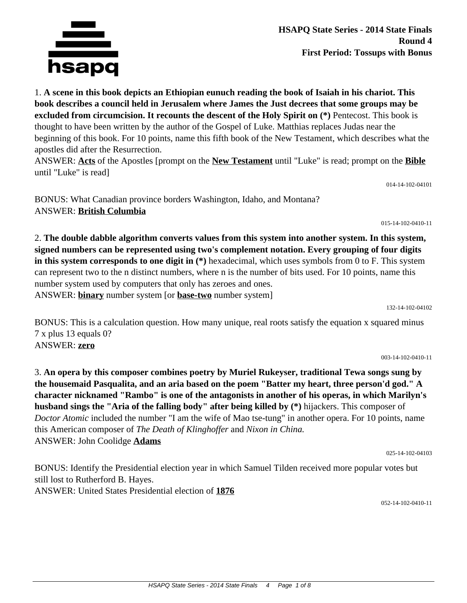

1. **A scene in this book depicts an Ethiopian eunuch reading the book of Isaiah in his chariot. This book describes a council held in Jerusalem where James the Just decrees that some groups may be excluded from circumcision. It recounts the descent of the Holy Spirit on (\*)** Pentecost. This book is thought to have been written by the author of the Gospel of Luke. Matthias replaces Judas near the beginning of this book. For 10 points, name this fifth book of the New Testament, which describes what the apostles did after the Resurrection.

ANSWER: **Acts** of the Apostles [prompt on the **New Testament** until "Luke" is read; prompt on the **Bible** until "Luke" is read]

014-14-102-04101

BONUS: What Canadian province borders Washington, Idaho, and Montana? ANSWER: **British Columbia**

015-14-102-0410-11

2. **The double dabble algorithm converts values from this system into another system. In this system, signed numbers can be represented using two's complement notation. Every grouping of four digits in this system corresponds to one digit in (\*)** hexadecimal, which uses symbols from 0 to F. This system can represent two to the n distinct numbers, where n is the number of bits used. For 10 points, name this number system used by computers that only has zeroes and ones. ANSWER: **binary** number system [or **base-two** number system]

132-14-102-04102

BONUS: This is a calculation question. How many unique, real roots satisfy the equation x squared minus 7 x plus 13 equals 0? ANSWER: **zero**

003-14-102-0410-11

3. **An opera by this composer combines poetry by Muriel Rukeyser, traditional Tewa songs sung by the housemaid Pasqualita, and an aria based on the poem "Batter my heart, three person'd god." A character nicknamed "Rambo" is one of the antagonists in another of his operas, in which Marilyn's husband sings the "Aria of the falling body" after being killed by (\*)** hijackers. This composer of *Doctor Atomic* included the number "I am the wife of Mao tse-tung" in another opera. For 10 points, name this American composer of *The Death of Klinghoffer* and *Nixon in China.* ANSWER: John Coolidge **Adams**

025-14-102-04103

BONUS: Identify the Presidential election year in which Samuel Tilden received more popular votes but still lost to Rutherford B. Hayes. ANSWER: United States Presidential election of **1876**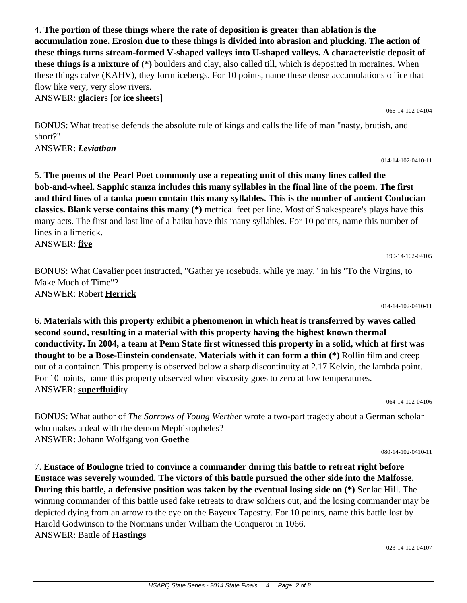4. **The portion of these things where the rate of deposition is greater than ablation is the accumulation zone. Erosion due to these things is divided into abrasion and plucking. The action of these things turns stream-formed V-shaped valleys into U-shaped valleys. A characteristic deposit of these things is a mixture of (\*)** boulders and clay, also called till, which is deposited in moraines. When these things calve (KAHV), they form icebergs. For 10 points, name these dense accumulations of ice that flow like very, very slow rivers. ANSWER: **glacier**s [or **ice sheet**s]

BONUS: What treatise defends the absolute rule of kings and calls the life of man "nasty, brutish, and short?"

ANSWER: *Leviathan*

5. **The poems of the Pearl Poet commonly use a repeating unit of this many lines called the bob-and-wheel. Sapphic stanza includes this many syllables in the final line of the poem. The first and third lines of a tanka poem contain this many syllables. This is the number of ancient Confucian classics. Blank verse contains this many (\*)** metrical feet per line. Most of Shakespeare's plays have this many acts. The first and last line of a haiku have this many syllables. For 10 points, name this number of lines in a limerick.

ANSWER: **five**

BONUS: What Cavalier poet instructed, "Gather ye rosebuds, while ye may," in his "To the Virgins, to Make Much of Time"? ANSWER: Robert **Herrick**

014-14-102-0410-11

6. **Materials with this property exhibit a phenomenon in which heat is transferred by waves called second sound, resulting in a material with this property having the highest known thermal conductivity. In 2004, a team at Penn State first witnessed this property in a solid, which at first was thought to be a Bose-Einstein condensate. Materials with it can form a thin (\*)** Rollin film and creep out of a container. This property is observed below a sharp discontinuity at 2.17 Kelvin, the lambda point. For 10 points, name this property observed when viscosity goes to zero at low temperatures. ANSWER: **superfluid**ity

064-14-102-04106

BONUS: What author of *The Sorrows of Young Werther* wrote a two-part tragedy about a German scholar who makes a deal with the demon Mephistopheles? ANSWER: Johann Wolfgang von **Goethe**

080-14-102-0410-11

7. **Eustace of Boulogne tried to convince a commander during this battle to retreat right before Eustace was severely wounded. The victors of this battle pursued the other side into the Malfosse. During this battle, a defensive position was taken by the eventual losing side on (\*)** Senlac Hill. The winning commander of this battle used fake retreats to draw soldiers out, and the losing commander may be depicted dying from an arrow to the eye on the Bayeux Tapestry. For 10 points, name this battle lost by Harold Godwinson to the Normans under William the Conqueror in 1066. ANSWER: Battle of **Hastings**

023-14-102-04107

190-14-102-04105

066-14-102-04104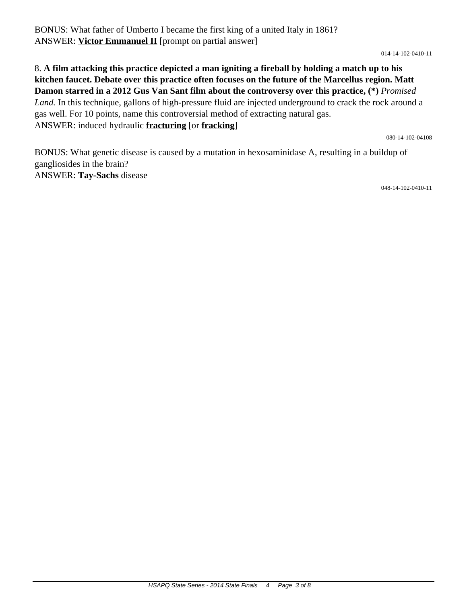BONUS: What father of Umberto I became the first king of a united Italy in 1861? ANSWER: **Victor Emmanuel II** [prompt on partial answer]

014-14-102-0410-11

## 8. **A film attacking this practice depicted a man igniting a fireball by holding a match up to his kitchen faucet. Debate over this practice often focuses on the future of the Marcellus region. Matt Damon starred in a 2012 Gus Van Sant film about the controversy over this practice, (\*)** *Promised Land.* In this technique, gallons of high-pressure fluid are injected underground to crack the rock around a gas well. For 10 points, name this controversial method of extracting natural gas. ANSWER: induced hydraulic **fracturing** [or **fracking**]

080-14-102-04108

BONUS: What genetic disease is caused by a mutation in hexosaminidase A, resulting in a buildup of gangliosides in the brain? ANSWER: **Tay-Sachs** disease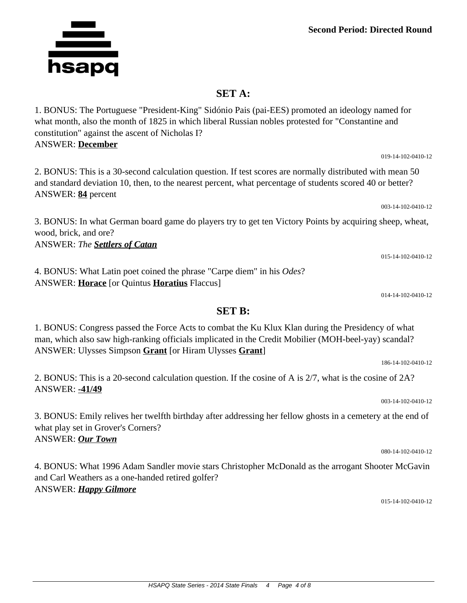## **SET A:**

1. BONUS: The Portuguese "President-King" Sidónio Pais (pai-EES) promoted an ideology named for what month, also the month of 1825 in which liberal Russian nobles protested for "Constantine and constitution" against the ascent of Nicholas I? ANSWER: **December**

2. BONUS: This is a 30-second calculation question. If test scores are normally distributed with mean 50 and standard deviation 10, then, to the nearest percent, what percentage of students scored 40 or better? ANSWER: **84** percent

3. BONUS: In what German board game do players try to get ten Victory Points by acquiring sheep, wheat, wood, brick, and ore?

ANSWER: *The Settlers of Catan*

4. BONUS: What Latin poet coined the phrase "Carpe diem" in his *Odes*? ANSWER: **Horace** [or Quintus **Horatius** Flaccus]

1. BONUS: Congress passed the Force Acts to combat the Ku Klux Klan during the Presidency of what man, which also saw high-ranking officials implicated in the Credit Mobilier (MOH-beel-yay) scandal? ANSWER: Ulysses Simpson **Grant** [or Hiram Ulysses **Grant**]

**SET B:**

2. BONUS: This is a 20-second calculation question. If the cosine of A is 2/7, what is the cosine of 2A? ANSWER: **-41/49**

3. BONUS: Emily relives her twelfth birthday after addressing her fellow ghosts in a cemetery at the end of what play set in Grover's Corners? ANSWER: *Our Town*

4. BONUS: What 1996 Adam Sandler movie stars Christopher McDonald as the arrogant Shooter McGavin and Carl Weathers as a one-handed retired golfer? ANSWER: *Happy Gilmore*

015-14-102-0410-12

015-14-102-0410-12

003-14-102-0410-12

014-14-102-0410-12

186-14-102-0410-12

003-14-102-0410-12

080-14-102-0410-12

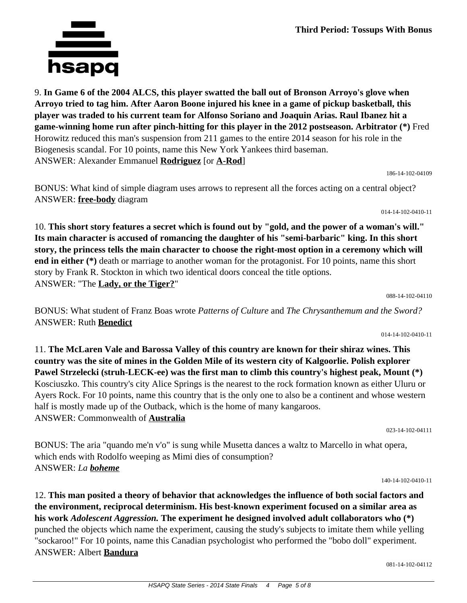

**Third Period: Tossups With Bonus**

9. **In Game 6 of the 2004 ALCS, this player swatted the ball out of Bronson Arroyo's glove when Arroyo tried to tag him. After Aaron Boone injured his knee in a game of pickup basketball, this player was traded to his current team for Alfonso Soriano and Joaquin Arias. Raul Ibanez hit a game-winning home run after pinch-hitting for this player in the 2012 postseason. Arbitrator (\*)** Fred Horowitz reduced this man's suspension from 211 games to the entire 2014 season for his role in the Biogenesis scandal. For 10 points, name this New York Yankees third baseman. ANSWER: Alexander Emmanuel **Rodriguez** [or **A-Rod**]

186-14-102-04109

014-14-102-0410-11

BONUS: What kind of simple diagram uses arrows to represent all the forces acting on a central object? ANSWER: **free-body** diagram

10. **This short story features a secret which is found out by "gold, and the power of a woman's will." Its main character is accused of romancing the daughter of his "semi-barbaric" king. In this short story, the princess tells the main character to choose the right-most option in a ceremony which will end in either (\*)** death or marriage to another woman for the protagonist. For 10 points, name this short story by Frank R. Stockton in which two identical doors conceal the title options. ANSWER: "The **Lady, or the Tiger?**"

BONUS: What student of Franz Boas wrote *Patterns of Culture* and *The Chrysanthemum and the Sword?* ANSWER: Ruth **Benedict**

014-14-102-0410-11

088-14-102-04110

11. **The McLaren Vale and Barossa Valley of this country are known for their shiraz wines. This country was the site of mines in the Golden Mile of its western city of Kalgoorlie. Polish explorer Pawel Strzelecki (struh-LECK-ee) was the first man to climb this country's highest peak, Mount (\*)** Kosciuszko. This country's city Alice Springs is the nearest to the rock formation known as either Uluru or Ayers Rock. For 10 points, name this country that is the only one to also be a continent and whose western half is mostly made up of the Outback, which is the home of many kangaroos. ANSWER: Commonwealth of **Australia**

BONUS: The aria "quando me'n v'o" is sung while Musetta dances a waltz to Marcello in what opera, which ends with Rodolfo weeping as Mimi dies of consumption? ANSWER: *La boheme*

140-14-102-0410-11

023-14-102-04111

12. **This man posited a theory of behavior that acknowledges the influence of both social factors and the environment, reciprocal determinism. His best-known experiment focused on a similar area as his work** *Adolescent Aggression.* **The experiment he designed involved adult collaborators who (\*)** punched the objects which name the experiment, causing the study's subjects to imitate them while yelling "sockaroo!" For 10 points, name this Canadian psychologist who performed the "bobo doll" experiment. ANSWER: Albert **Bandura**

081-14-102-04112

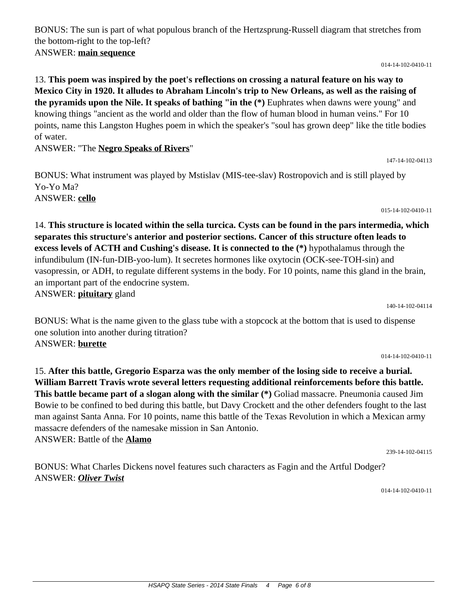BONUS: The sun is part of what populous branch of the Hertzsprung-Russell diagram that stretches from the bottom-right to the top-left? ANSWER: **main sequence**

014-14-102-0410-11

13. **This poem was inspired by the poet's reflections on crossing a natural feature on his way to Mexico City in 1920. It alludes to Abraham Lincoln's trip to New Orleans, as well as the raising of the pyramids upon the Nile. It speaks of bathing "in the (\*)** Euphrates when dawns were young" and knowing things "ancient as the world and older than the flow of human blood in human veins." For 10 points, name this Langston Hughes poem in which the speaker's "soul has grown deep" like the title bodies of water.

ANSWER: "The **Negro Speaks of Rivers**"

BONUS: What instrument was played by Mstislav (MIS-tee-slav) Rostropovich and is still played by Yo-Yo Ma? ANSWER: **cello**

015-14-102-0410-11

14. **This structure is located within the sella turcica. Cysts can be found in the pars intermedia, which separates this structure's anterior and posterior sections. Cancer of this structure often leads to excess levels of ACTH and Cushing's disease. It is connected to the (\*)** hypothalamus through the infundibulum (IN-fun-DIB-yoo-lum). It secretes hormones like oxytocin (OCK-see-TOH-sin) and vasopressin, or ADH, to regulate different systems in the body. For 10 points, name this gland in the brain, an important part of the endocrine system. ANSWER: **pituitary** gland

140-14-102-04114

BONUS: What is the name given to the glass tube with a stopcock at the bottom that is used to dispense one solution into another during titration? ANSWER: **burette**

014-14-102-0410-11

15. **After this battle, Gregorio Esparza was the only member of the losing side to receive a burial. William Barrett Travis wrote several letters requesting additional reinforcements before this battle. This battle became part of a slogan along with the similar (\*)** Goliad massacre. Pneumonia caused Jim Bowie to be confined to bed during this battle, but Davy Crockett and the other defenders fought to the last man against Santa Anna. For 10 points, name this battle of the Texas Revolution in which a Mexican army massacre defenders of the namesake mission in San Antonio. ANSWER: Battle of the **Alamo**

239-14-102-04115

BONUS: What Charles Dickens novel features such characters as Fagin and the Artful Dodger? ANSWER: *Oliver Twist*

014-14-102-0410-11

147-14-102-04113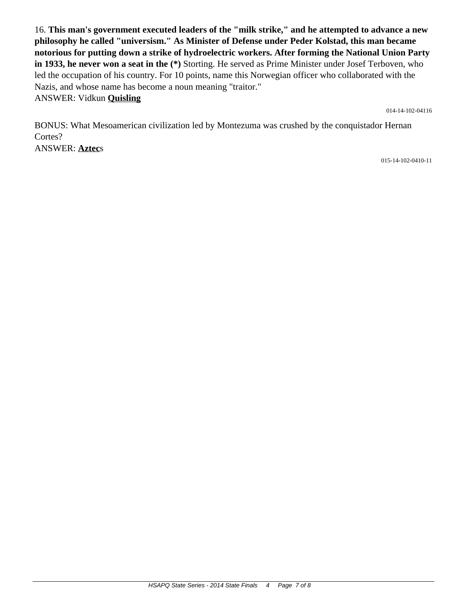16. **This man's government executed leaders of the "milk strike," and he attempted to advance a new philosophy he called "universism." As Minister of Defense under Peder Kolstad, this man became notorious for putting down a strike of hydroelectric workers. After forming the National Union Party in 1933, he never won a seat in the (\*)** Storting. He served as Prime Minister under Josef Terboven, who led the occupation of his country. For 10 points, name this Norwegian officer who collaborated with the Nazis, and whose name has become a noun meaning "traitor." ANSWER: Vidkun **Quisling**

014-14-102-04116

BONUS: What Mesoamerican civilization led by Montezuma was crushed by the conquistador Hernan Cortes? ANSWER: **Aztec**s